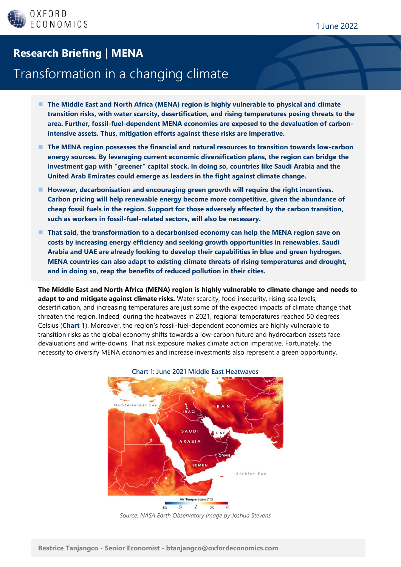## **Research Briefing | MENA**

## Transformation in a changing climate

- The Middle East and North Africa (MENA) region is highly vulnerable to physical and climate **transition risks, with water scarcity, desertification, and rising temperatures posing threats to the area. Further, fossil-fuel-dependent MENA economies are exposed to the devaluation of carbonintensive assets. Thus, mitigation efforts against these risks are imperative.**
- The MENA region possesses the financial and natural resources to transition towards low-carbon **energy sources. By leveraging current economic diversification plans, the region can bridge the investment gap with "greener" capital stock. In doing so, countries like Saudi Arabia and the United Arab Emirates could emerge as leaders in the fight against climate change.**
- ◼ **However, decarbonisation and encouraging green growth will require the right incentives. Carbon pricing will help renewable energy become more competitive, given the abundance of cheap fossil fuels in the region. Support for those adversely affected by the carbon transition, such as workers in fossil-fuel-related sectors, will also be necessary.**
- That said, the transformation to a decarbonised economy can help the MENA region save on **costs by increasing energy efficiency and seeking growth opportunities in renewables. Saudi Arabia and UAE are already looking to develop their capabilities in blue and green hydrogen. MENA countries can also adapt to existing climate threats of rising temperatures and drought, and in doing so, reap the benefits of reduced pollution in their cities.**

**The Middle East and North Africa (MENA) region is highly vulnerable to climate change and needs to adapt to and mitigate against climate risks.** Water scarcity, food insecurity, rising sea levels, desertification, and increasing temperatures are just some of the expected impacts of climate change that threaten the region. Indeed, during the heatwaves in 2021, regional temperatures reached 50 degrees Celsius (**Chart 1**). Moreover, the region's fossil-fuel-dependent economies are highly vulnerable to transition risks as the global economy shifts towards a low-carbon future and hydrocarbon assets face devaluations and write-downs. That risk exposure makes climate action imperative. Fortunately, the necessity to diversify MENA economies and increase investments also represent a green opportunity.



*Source: NASA Earth Observatory image by Joshua Stevens*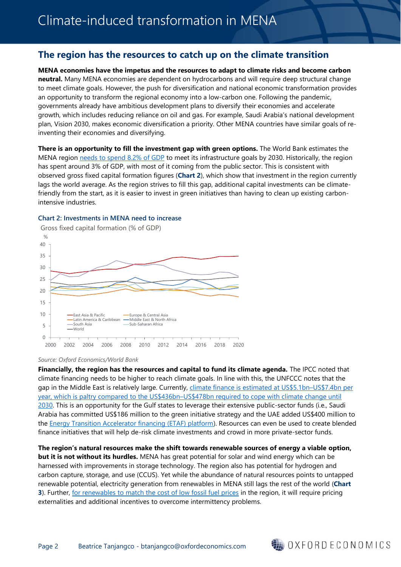## **The region has the resources to catch up on the climate transition**

**MENA economies have the impetus and the resources to adapt to climate risks and become carbon neutral.** Many MENA economies are dependent on hydrocarbons and will require deep structural change to meet climate goals. However, the push for diversification and national economic transformation provides an opportunity to transform the regional economy into a low-carbon one. Following the pandemic, governments already have ambitious development plans to diversify their economies and accelerate growth, which includes reducing reliance on oil and gas. For example, Saudi Arabia's national development plan, Vision 2030, makes economic diversification a priority. Other MENA countries have similar goals of reinventing their economies and diversifying.

**There is an opportunity to fill the investment gap with green options.** The World Bank estimates the MENA region needs [to spend 8.2% of GDP](https://blogs.worldbank.org/arabvoices/building-forward-better-mena-how-infrastructure-investments-can-create-jobs) to meet its infrastructure goals by 2030. Historically, the region has spent around 3% of GDP, with most of it coming from the public sector. This is consistent with observed gross fixed capital formation figures (**Chart 2**), which show that investment in the region currently lags the world average. As the region strives to fill this gap, additional capital investments can be climatefriendly from the start, as it is easier to invest in green initiatives than having to clean up existing carbonintensive industries.



#### **Chart 2: Investments in MENA need to increase**

*Source: Oxford Economics/World Bank*

**Financially, the region has the resources and capital to fund its climate agenda.** The IPCC noted that climate financing needs to be higher to reach climate goals. In line with this, the UNFCCC notes that the gap in the Middle East is relatively large. Currently, climate [finance is estimated](https://unfccc.int/news/working-to-close-the-climate-finance-gap-in-the-arab-region) at US\$5.1bn–US\$7.4bn per [year, which is paltry compared to the US\\$436bn](https://unfccc.int/news/working-to-close-the-climate-finance-gap-in-the-arab-region)–US\$478bn required to cope with climate change until [2030.](https://unfccc.int/news/working-to-close-the-climate-finance-gap-in-the-arab-region) This is an opportunity for the Gulf states to leverage their extensive public-sector funds (i.e., Saudi Arabia has committed US\$186 million to the green initiative strategy and the UAE added US\$400 million to the [Energy Transition Accelerator financing \(ETAF\) platform\)](https://etafplatform.org/About). Resources can even be used to create blended finance initiatives that will help de-risk climate investments and crowd in more private-sector funds.

**The region's natural resources make the shift towards renewable sources of energy a viable option, but it is not without its hurdles.** MENA has great potential for solar and wind energy which can be harnessed with improvements in storage technology. The region also has potential for hydrogen and carbon capture, storage, and use (CCUS). Yet while the abundance of natural resources points to untapped renewable potential, electricity generation from renewables in MENA still lags the rest of the world (**Chart 3**). Further, [for renewables to match the cost of low fossil fuel prices](https://my.oxfordeconomics.com/reportaction/594920Fd27464837b49A4f/Toc) in the region, it will require pricing externalities and additional incentives to overcome intermittency problems.

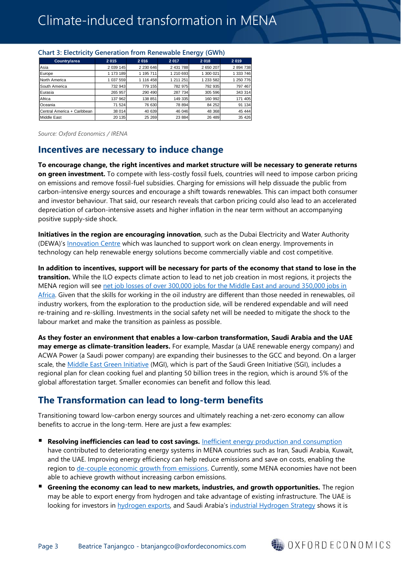|                             |           |           | --        |           |           |
|-----------------------------|-----------|-----------|-----------|-----------|-----------|
| Country/area                | 2 0 1 5   | 2 0 16    | 2017      | 2018      | 2019      |
| <b>Asia</b>                 | 2 039 145 | 2 230 646 | 2 431 788 | 2 650 207 | 2894738   |
| Europe                      | 1 173 189 | 1 195 711 | 1 210 693 | 1 300 021 | 1 333 746 |
| North America               | 037 559   | 1 116 458 | 1 211 251 | 1 233 582 | 1 250 776 |
| South America               | 732 943   | 779 155   | 782 975   | 792 935   | 797 467   |
| Eurasia                     | 265 957   | 290 490   | 287 734   | 305 596   | 343 314   |
| Africa                      | 137 962   | 138 851   | 149 335   | 160 992   | 171 405   |
| Oceania                     | 71 524    | 76 630    | 78 894    | 84 25 2   | 91 134    |
| Central America + Caribbean | 38 014    | 40 639    | 46 046    | 48 368    | 45 444    |
| Middle East                 | 20 135    | 25 269    | 23 884    | 26 489    | 35 4 26   |

#### **Chart 3: Electricity Generation from Renewable Energy (GWh)**

*Source: Oxford Economics / IRENA*

### **Incentives are necessary to induce change**

**To encourage change, the right incentives and market structure will be necessary to generate returns on green investment.** To compete with less-costly fossil fuels, countries will need to impose carbon pricing on emissions and remove fossil-fuel subsidies. Charging for emissions will help dissuade the public from carbon-intensive energy sources and encourage a shift towards renewables. This can impact both consumer and investor behaviour. That said, our research reveals that carbon pricing could also lead to an accelerated depreciation of carbon-intensive assets and higher inflation in the near term without an accompanying positive supply-side shock.

**Initiatives in the region are encouraging innovation**, such as the Dubai Electricity and Water Authority (DEWA)'s [Innovation Centre](https://www.mbrsic.ae/en/about/innovation-centre/#:~:text=The%20Centre%20is%20a%20clean,UAE%20Nationals%20and%20increases%20competition.) which was launched to support work on clean energy. Improvements in technology can help renewable energy solutions become commercially viable and cost competitive.

**In addition to incentives, support will be necessary for parts of the economy that stand to lose in the transition.** While the ILO expects climate action to lead to net job creation in most regions, it projects the MENA region will see [net job losses of over 300,000 jobs for the Middle East and around 350,000 jobs in](https://www.ilo.org/wcmsp5/groups/public/---dgreports/---dcomm/---publ/documents/publication/wcms_628654.pdf)  [Africa.](https://www.ilo.org/wcmsp5/groups/public/---dgreports/---dcomm/---publ/documents/publication/wcms_628654.pdf) Given that the skills for working in the oil industry are different than those needed in renewables, oil industry workers, from the exploration to the production side, will be rendered expendable and will need re-training and re-skilling. Investments in the social safety net will be needed to mitigate the shock to the labour market and make the transition as painless as possible.

**As they foster an environment that enables a low-carbon transformation, Saudi Arabia and the UAE may emerge as climate-transition leaders.** For example, Masdar (a UAE renewable energy company) and ACWA Power (a Saudi power company) are expanding their businesses to the GCC and beyond. On a larger scale, the [Middle East Green Initiative](https://www.saudigreeninitiative.org/about-middle-east-green-initiative/) (MGI), which is part of the Saudi Green Initiative (SGI), includes a regional plan for clean cooking fuel and planting 50 billion trees in the region, which is around 5% of the global afforestation target. Smaller economies can benefit and follow this lead.

## **The Transformation can lead to long-term benefits**

Transitioning toward low-carbon energy sources and ultimately reaching a net-zero economy can allow benefits to accrue in the long-term. Here are just a few examples:

- **Resolving inefficiencies can lead to cost savings.** [Inefficient energy production and consumption](https://dspace.mit.edu/handle/1721.1/124226) have contributed to deteriorating energy systems in MENA countries such as Iran, Saudi Arabia, Kuwait, and the UAE. Improving energy efficiency can help reduce emissions and save on costs, enabling the region to [de-couple economic growth from emissions.](https://www.brookings.edu/blog/future-development/2021/07/22/decoupling-economic-growth-from-emissions-in-the-middle-east-and-north-africa/) Currently, some MENA economies have not been able to achieve growth without increasing carbon emissions.
- **E** Greening the economy can lead to new markets, industries, and growth opportunities. The region may be able to export energy from hydrogen and take advantage of existing infrastructure. The UAE is looking for investors in [hydrogen exports,](https://www.aljazeera.com/economy/2021/7/8/uae-seeks-investors-to-build-hydrogen-export-facilities) and Saudi Arabia's [industrial Hydrogen Strategy](https://www.csis.org/analysis/saudi-arabias-hydrogen-industrial-strategy) shows it is